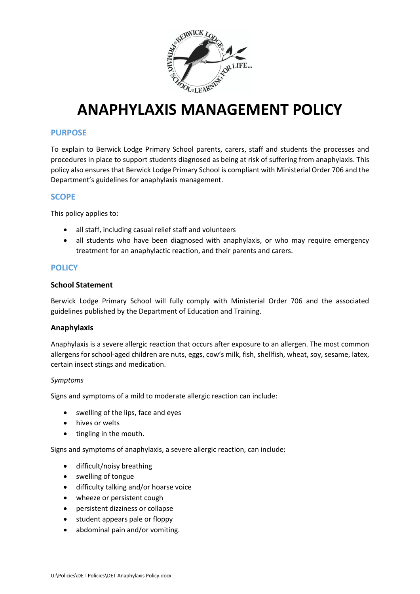

# **ANAPHYLAXIS MANAGEMENT POLICY**

# **PURPOSE**

To explain to Berwick Lodge Primary School parents, carers, staff and students the processes and procedures in place to support students diagnosed as being at risk of suffering from anaphylaxis. This policy also ensures that Berwick Lodge Primary School is compliant with Ministerial Order 706 and the Department's guidelines for anaphylaxis management.

# **SCOPE**

This policy applies to:

- all staff, including casual relief staff and volunteers
- all students who have been diagnosed with anaphylaxis, or who may require emergency treatment for an anaphylactic reaction, and their parents and carers.

### **POLICY**

### **School Statement**

Berwick Lodge Primary School will fully comply with Ministerial Order 706 and the associated guidelines published by the Department of Education and Training.

#### **Anaphylaxis**

Anaphylaxis is a severe allergic reaction that occurs after exposure to an allergen. The most common allergens for school-aged children are nuts, eggs, cow's milk, fish, shellfish, wheat, soy, sesame, latex, certain insect stings and medication.

#### *Symptoms*

Signs and symptoms of a mild to moderate allergic reaction can include:

- swelling of the lips, face and eyes
- hives or welts
- tingling in the mouth.

Signs and symptoms of anaphylaxis, a severe allergic reaction, can include:

- difficult/noisy breathing
- swelling of tongue
- difficulty talking and/or hoarse voice
- wheeze or persistent cough
- persistent dizziness or collapse
- student appears pale or floppy
- abdominal pain and/or vomiting.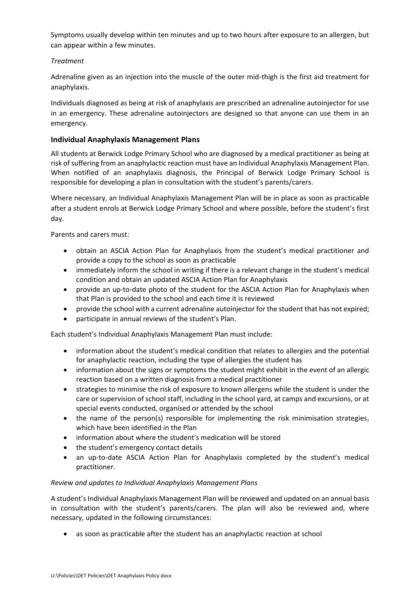Symptoms usually develop within ten minutes and up to two hours after exposure to an allergen, but can appear within a few minutes.

### *Treatment*

Adrenaline given as an injection into the muscle of the outer mid-thigh is the first aid treatment for anaphylaxis.

Individuals diagnosed as being at risk of anaphylaxis are prescribed an adrenaline autoinjector for use in an emergency. These adrenaline autoinjectors are designed so that anyone can use them in an emergency.

# **Individual Anaphylaxis Management Plans**

All students at Berwick Lodge Primary School who are diagnosed by a medical practitioner as being at risk of suffering from an anaphylactic reaction must have an Individual Anaphylaxis Management Plan. When notified of an anaphylaxis diagnosis, the Principal of Berwick Lodge Primary School is responsible for developing a plan in consultation with the student's parents/carers.

Where necessary, an Individual Anaphylaxis Management Plan will be in place as soon as practicable after a student enrols at Berwick Lodge Primary School and where possible, before the student's first day.

Parents and carers must:

- obtain an ASCIA Action Plan for Anaphylaxis from the student's medical practitioner and provide a copy to the school as soon as practicable
- immediately inform the school in writing if there is a relevant change in the student's medical condition and obtain an updated ASCIA Action Plan for Anaphylaxis
- provide an up-to-date photo of the student for the ASCIA Action Plan for Anaphylaxis when that Plan is provided to the school and each time it is reviewed
- provide the school with a current adrenaline autoinjector for the student that has not expired;
- participate in annual reviews of the student's Plan.

Each student's Individual Anaphylaxis Management Plan must include:

- information about the student's medical condition that relates to allergies and the potential for anaphylactic reaction, including the type of allergies the student has
- information about the signs or symptoms the student might exhibit in the event of an allergic reaction based on a written diagnosis from a medical practitioner
- strategies to minimise the risk of exposure to known allergens while the student is under the care or supervision of school staff, including in the school yard, at camps and excursions, or at special events conducted, organised or attended by the school
- the name of the person(s) responsible for implementing the risk minimisation strategies, which have been identified in the Plan
- information about where the student's medication will be stored
- the student's emergency contact details
- an up-to-date ASCIA Action Plan for Anaphylaxis completed by the student's medical practitioner.

#### *Review and updates to Individual Anaphylaxis Management Plans*

A student's Individual Anaphylaxis Management Plan will be reviewed and updated on an annual basis in consultation with the student's parents/carers. The plan will also be reviewed and, where necessary, updated in the following circumstances:

• as soon as practicable after the student has an anaphylactic reaction at school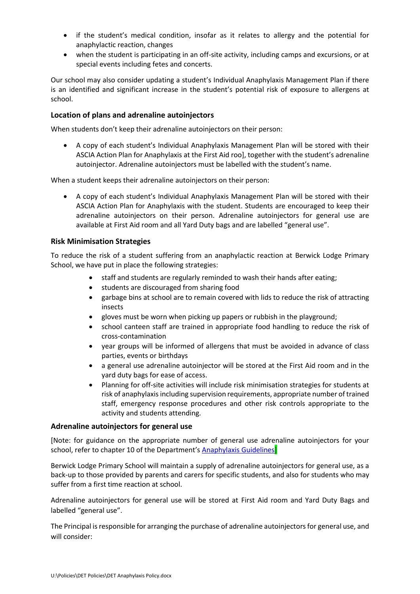- if the student's medical condition, insofar as it relates to allergy and the potential for anaphylactic reaction, changes
- when the student is participating in an off-site activity, including camps and excursions, or at special events including fetes and concerts.

Our school may also consider updating a student's Individual Anaphylaxis Management Plan if there is an identified and significant increase in the student's potential risk of exposure to allergens at school.

### **Location of plans and adrenaline autoinjectors**

When students don't keep their adrenaline autoinjectors on their person:

• A copy of each student's Individual Anaphylaxis Management Plan will be stored with their ASCIA Action Plan for Anaphylaxis at the First Aid roo], together with the student's adrenaline autoinjector. Adrenaline autoinjectors must be labelled with the student's name.

When a student keeps their adrenaline autoinjectors on their person:

• A copy of each student's Individual Anaphylaxis Management Plan will be stored with their ASCIA Action Plan for Anaphylaxis with the student. Students are encouraged to keep their adrenaline autoinjectors on their person. Adrenaline autoinjectors for general use are available at First Aid room and all Yard Duty bags and are labelled "general use".

### **Risk Minimisation Strategies**

To reduce the risk of a student suffering from an anaphylactic reaction at Berwick Lodge Primary School, we have put in place the following strategies:

- staff and students are regularly reminded to wash their hands after eating;
- students are discouraged from sharing food
- garbage bins at school are to remain covered with lids to reduce the risk of attracting insects
- gloves must be worn when picking up papers or rubbish in the playground;
- school canteen staff are trained in appropriate food handling to reduce the risk of cross-contamination
- year groups will be informed of allergens that must be avoided in advance of class parties, events or birthdays
- a general use adrenaline autoinjector will be stored at the First Aid room and in the yard duty bags for ease of access.
- Planning for off-site activities will include risk minimisation strategies for students at risk of anaphylaxis including supervision requirements, appropriate number of trained staff, emergency response procedures and other risk controls appropriate to the activity and students attending.

#### **Adrenaline autoinjectors for general use**

[Note: for guidance on the appropriate number of general use adrenaline autoinjectors for your school, refer to chapter 10 of the Department's **Anaphylaxis Guidelines** 

Berwick Lodge Primary School will maintain a supply of adrenaline autoinjectors for general use, as a back-up to those provided by parents and carers for specific students, and also for students who may suffer from a first time reaction at school.

Adrenaline autoinjectors for general use will be stored at First Aid room and Yard Duty Bags and labelled "general use".

The Principal is responsible for arranging the purchase of adrenaline autoinjectors for general use, and will consider: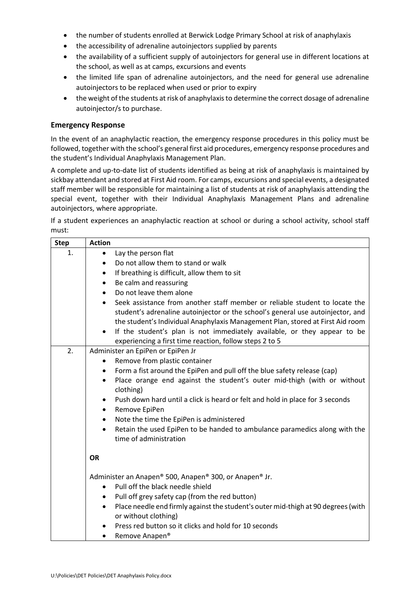- the number of students enrolled at Berwick Lodge Primary School at risk of anaphylaxis
- the accessibility of adrenaline autoinjectors supplied by parents
- the availability of a sufficient supply of autoinjectors for general use in different locations at the school, as well as at camps, excursions and events
- the limited life span of adrenaline autoinjectors, and the need for general use adrenaline autoinjectors to be replaced when used or prior to expiry
- the weight of the students at risk of anaphylaxis to determine the correct dosage of adrenaline autoinjector/s to purchase.

### **Emergency Response**

In the event of an anaphylactic reaction, the emergency response procedures in this policy must be followed, together with the school's general first aid procedures, emergency response procedures and the student's Individual Anaphylaxis Management Plan.

A complete and up-to-date list of students identified as being at risk of anaphylaxis is maintained by sickbay attendant and stored at First Aid room. For camps, excursions and special events, a designated staff member will be responsible for maintaining a list of students at risk of anaphylaxis attending the special event, together with their Individual Anaphylaxis Management Plans and adrenaline autoinjectors, where appropriate.

If a student experiences an anaphylactic reaction at school or during a school activity, school staff must:

| <b>Step</b> | <b>Action</b>                                                                                                                                                  |  |
|-------------|----------------------------------------------------------------------------------------------------------------------------------------------------------------|--|
| 1.          | Lay the person flat<br>$\bullet$                                                                                                                               |  |
|             | Do not allow them to stand or walk<br>$\bullet$                                                                                                                |  |
|             | If breathing is difficult, allow them to sit<br>$\bullet$                                                                                                      |  |
|             | Be calm and reassuring<br>$\bullet$                                                                                                                            |  |
|             | Do not leave them alone                                                                                                                                        |  |
|             | Seek assistance from another staff member or reliable student to locate the<br>student's adrenaline autoinjector or the school's general use autoinjector, and |  |
|             | the student's Individual Anaphylaxis Management Plan, stored at First Aid room                                                                                 |  |
|             | If the student's plan is not immediately available, or they appear to be<br>$\bullet$<br>experiencing a first time reaction, follow steps 2 to 5               |  |
| 2.          | Administer an EpiPen or EpiPen Jr                                                                                                                              |  |
|             | Remove from plastic container<br>$\bullet$                                                                                                                     |  |
|             | Form a fist around the EpiPen and pull off the blue safety release (cap)<br>$\bullet$                                                                          |  |
|             | Place orange end against the student's outer mid-thigh (with or without<br>$\bullet$<br>clothing)                                                              |  |
|             | Push down hard until a click is heard or felt and hold in place for 3 seconds<br>$\bullet$                                                                     |  |
|             | Remove EpiPen<br>٠                                                                                                                                             |  |
|             | Note the time the EpiPen is administered<br>$\bullet$                                                                                                          |  |
|             | Retain the used EpiPen to be handed to ambulance paramedics along with the<br>$\bullet$<br>time of administration                                              |  |
|             | <b>OR</b>                                                                                                                                                      |  |
|             | Administer an Anapen® 500, Anapen® 300, or Anapen® Jr.                                                                                                         |  |
|             | Pull off the black needle shield<br>$\bullet$                                                                                                                  |  |
|             | Pull off grey safety cap (from the red button)<br>$\bullet$                                                                                                    |  |
|             | Place needle end firmly against the student's outer mid-thigh at 90 degrees (with<br>$\bullet$<br>or without clothing)                                         |  |
|             | Press red button so it clicks and hold for 10 seconds                                                                                                          |  |
|             | Remove Anapen®                                                                                                                                                 |  |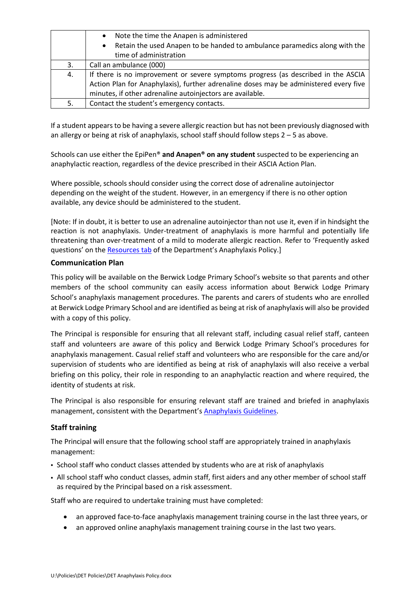|    | Note the time the Anapen is administered<br>$\bullet$                                   |  |
|----|-----------------------------------------------------------------------------------------|--|
|    | Retain the used Anapen to be handed to ambulance paramedics along with the<br>$\bullet$ |  |
|    | time of administration                                                                  |  |
| 3. | Call an ambulance (000)                                                                 |  |
| 4. | If there is no improvement or severe symptoms progress (as described in the ASCIA       |  |
|    | Action Plan for Anaphylaxis), further adrenaline doses may be administered every five   |  |
|    | minutes, if other adrenaline autoinjectors are available.                               |  |
| 5. | Contact the student's emergency contacts.                                               |  |

If a student appears to be having a severe allergic reaction but has not been previously diagnosed with an allergy or being at risk of anaphylaxis, school staff should follow steps 2 – 5 as above.

Schools can use either the EpiPen® **and Anapen® on any student** suspected to be experiencing an anaphylactic reaction, regardless of the device prescribed in their ASCIA Action Plan.

Where possible, schools should consider using the correct dose of adrenaline autoinjector depending on the weight of the student. However, in an emergency if there is no other option available, any device should be administered to the student.

[Note: If in doubt, it is better to use an adrenaline autoinjector than not use it, even if in hindsight the reaction is not anaphylaxis. Under-treatment of anaphylaxis is more harmful and potentially life threatening than over-treatment of a mild to moderate allergic reaction. Refer to 'Frequently asked questions' on the [Resources tab](https://www2.education.vic.gov.au/pal/anaphylaxis/resources) of the Department's Anaphylaxis Policy.]

### **Communication Plan**

This policy will be available on the Berwick Lodge Primary School's website so that parents and other members of the school community can easily access information about Berwick Lodge Primary School's anaphylaxis management procedures. The parents and carers of students who are enrolled at Berwick Lodge Primary School and are identified as being at risk of anaphylaxis will also be provided with a copy of this policy.

The Principal is responsible for ensuring that all relevant staff, including casual relief staff, canteen staff and volunteers are aware of this policy and Berwick Lodge Primary School's procedures for anaphylaxis management. Casual relief staff and volunteers who are responsible for the care and/or supervision of students who are identified as being at risk of anaphylaxis will also receive a verbal briefing on this policy, their role in responding to an anaphylactic reaction and where required, the identity of students at risk.

The Principal is also responsible for ensuring relevant staff are trained and briefed in anaphylaxis management, consistent with the Department's [Anaphylaxis Guidelines.](https://www2.education.vic.gov.au/pal/anaphylaxis/guidance)

# **Staff training**

The Principal will ensure that the following school staff are appropriately trained in anaphylaxis management:

- School staff who conduct classes attended by students who are at risk of anaphylaxis
- All school staff who conduct classes, admin staff, first aiders and any other member of school staff as required by the Principal based on a risk assessment.

Staff who are required to undertake training must have completed:

- an approved face-to-face anaphylaxis management training course in the last three years, or
- an approved online anaphylaxis management training course in the last two years.